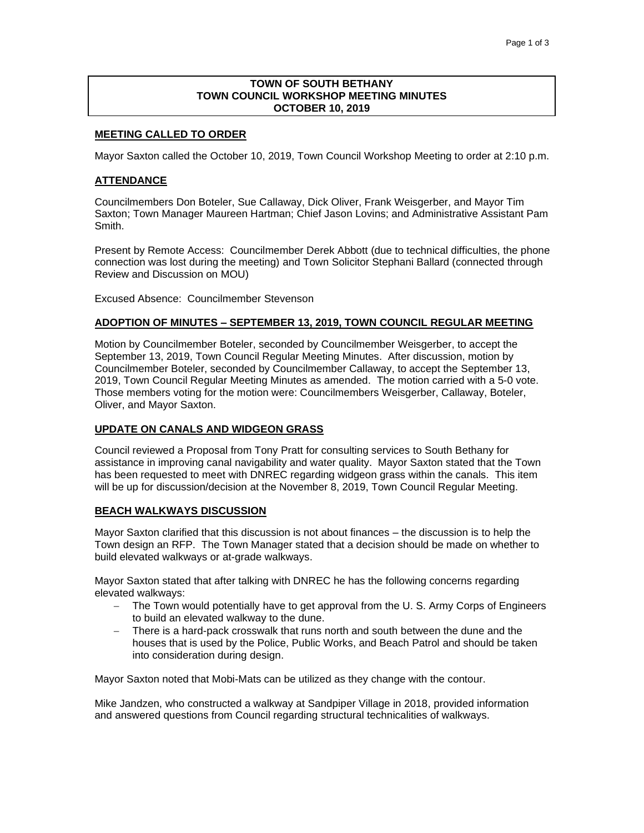### **TOWN OF SOUTH BETHANY TOWN COUNCIL WORKSHOP MEETING MINUTES OCTOBER 10, 2019**

#### **MEETING CALLED TO ORDER**

Mayor Saxton called the October 10, 2019, Town Council Workshop Meeting to order at 2:10 p.m.

#### **ATTENDANCE**

Councilmembers Don Boteler, Sue Callaway, Dick Oliver, Frank Weisgerber, and Mayor Tim Saxton; Town Manager Maureen Hartman; Chief Jason Lovins; and Administrative Assistant Pam Smith.

Present by Remote Access: Councilmember Derek Abbott (due to technical difficulties, the phone connection was lost during the meeting) and Town Solicitor Stephani Ballard (connected through Review and Discussion on MOU)

Excused Absence: Councilmember Stevenson

#### **ADOPTION OF MINUTES – SEPTEMBER 13, 2019, TOWN COUNCIL REGULAR MEETING**

Motion by Councilmember Boteler, seconded by Councilmember Weisgerber, to accept the September 13, 2019, Town Council Regular Meeting Minutes. After discussion, motion by Councilmember Boteler, seconded by Councilmember Callaway, to accept the September 13, 2019, Town Council Regular Meeting Minutes as amended. The motion carried with a 5-0 vote. Those members voting for the motion were: Councilmembers Weisgerber, Callaway, Boteler, Oliver, and Mayor Saxton.

#### **UPDATE ON CANALS AND WIDGEON GRASS**

Council reviewed a Proposal from Tony Pratt for consulting services to South Bethany for assistance in improving canal navigability and water quality. Mayor Saxton stated that the Town has been requested to meet with DNREC regarding widgeon grass within the canals. This item will be up for discussion/decision at the November 8, 2019, Town Council Regular Meeting.

### **BEACH WALKWAYS DISCUSSION**

Mayor Saxton clarified that this discussion is not about finances – the discussion is to help the Town design an RFP. The Town Manager stated that a decision should be made on whether to build elevated walkways or at-grade walkways.

Mayor Saxton stated that after talking with DNREC he has the following concerns regarding elevated walkways:

- − The Town would potentially have to get approval from the U. S. Army Corps of Engineers to build an elevated walkway to the dune.
- − There is a hard-pack crosswalk that runs north and south between the dune and the houses that is used by the Police, Public Works, and Beach Patrol and should be taken into consideration during design.

Mayor Saxton noted that Mobi-Mats can be utilized as they change with the contour.

Mike Jandzen, who constructed a walkway at Sandpiper Village in 2018, provided information and answered questions from Council regarding structural technicalities of walkways.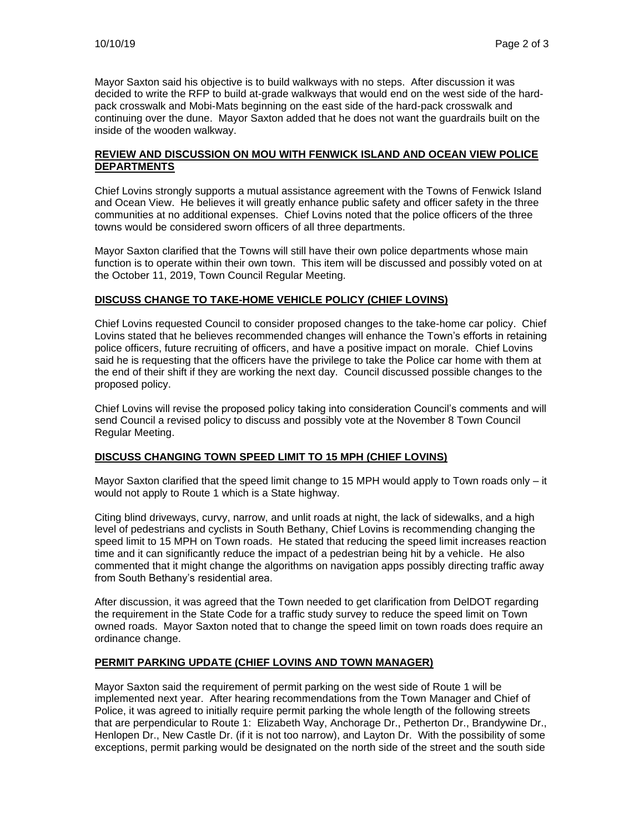Mayor Saxton said his objective is to build walkways with no steps. After discussion it was decided to write the RFP to build at-grade walkways that would end on the west side of the hardpack crosswalk and Mobi-Mats beginning on the east side of the hard-pack crosswalk and continuing over the dune. Mayor Saxton added that he does not want the guardrails built on the inside of the wooden walkway.

## **REVIEW AND DISCUSSION ON MOU WITH FENWICK ISLAND AND OCEAN VIEW POLICE DEPARTMENTS**

Chief Lovins strongly supports a mutual assistance agreement with the Towns of Fenwick Island and Ocean View. He believes it will greatly enhance public safety and officer safety in the three communities at no additional expenses. Chief Lovins noted that the police officers of the three towns would be considered sworn officers of all three departments.

Mayor Saxton clarified that the Towns will still have their own police departments whose main function is to operate within their own town. This item will be discussed and possibly voted on at the October 11, 2019, Town Council Regular Meeting.

# **DISCUSS CHANGE TO TAKE-HOME VEHICLE POLICY (CHIEF LOVINS)**

Chief Lovins requested Council to consider proposed changes to the take-home car policy. Chief Lovins stated that he believes recommended changes will enhance the Town's efforts in retaining police officers, future recruiting of officers, and have a positive impact on morale. Chief Lovins said he is requesting that the officers have the privilege to take the Police car home with them at the end of their shift if they are working the next day. Council discussed possible changes to the proposed policy.

Chief Lovins will revise the proposed policy taking into consideration Council's comments and will send Council a revised policy to discuss and possibly vote at the November 8 Town Council Regular Meeting.

# **DISCUSS CHANGING TOWN SPEED LIMIT TO 15 MPH (CHIEF LOVINS)**

Mayor Saxton clarified that the speed limit change to 15 MPH would apply to Town roads only – it would not apply to Route 1 which is a State highway.

Citing blind driveways, curvy, narrow, and unlit roads at night, the lack of sidewalks, and a high level of pedestrians and cyclists in South Bethany, Chief Lovins is recommending changing the speed limit to 15 MPH on Town roads. He stated that reducing the speed limit increases reaction time and it can significantly reduce the impact of a pedestrian being hit by a vehicle. He also commented that it might change the algorithms on navigation apps possibly directing traffic away from South Bethany's residential area.

After discussion, it was agreed that the Town needed to get clarification from DelDOT regarding the requirement in the State Code for a traffic study survey to reduce the speed limit on Town owned roads. Mayor Saxton noted that to change the speed limit on town roads does require an ordinance change.

# **PERMIT PARKING UPDATE (CHIEF LOVINS AND TOWN MANAGER)**

Mayor Saxton said the requirement of permit parking on the west side of Route 1 will be implemented next year. After hearing recommendations from the Town Manager and Chief of Police, it was agreed to initially require permit parking the whole length of the following streets that are perpendicular to Route 1: Elizabeth Way, Anchorage Dr., Petherton Dr., Brandywine Dr., Henlopen Dr., New Castle Dr. (if it is not too narrow), and Layton Dr. With the possibility of some exceptions, permit parking would be designated on the north side of the street and the south side